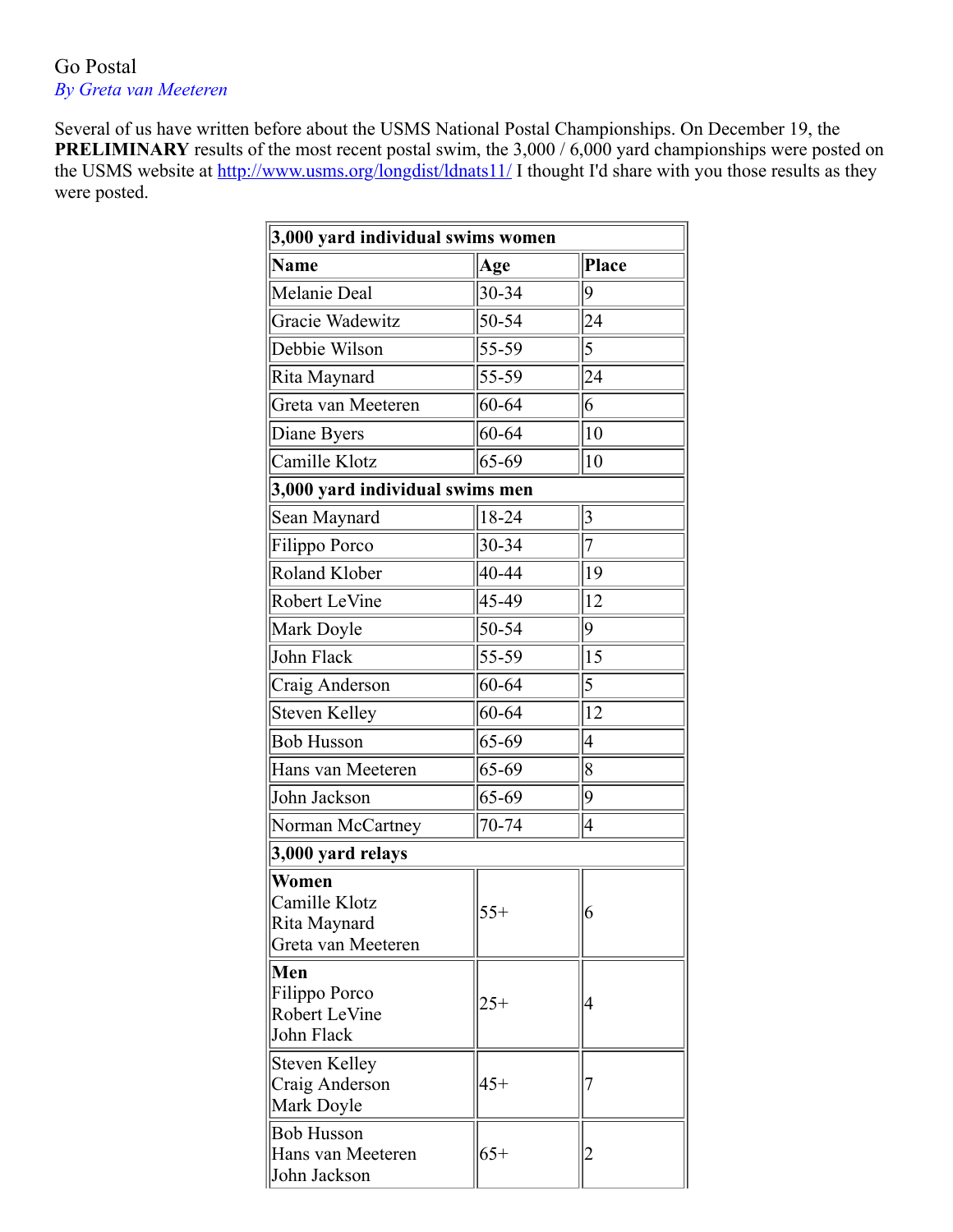## Go Postal *By Greta van Meeteren*

Several of us have written before about the USMS National Postal Championships. On December 19, the **PRELIMINARY** results of the most recent postal swim, the 3,000 / 6,000 yard championships were posted on the USMS website at <http://www.usms.org/longdist/ldnats11/>I thought I'd share with you those results as they were posted.

| 3,000 yard individual swims women                            |             |                         |  |
|--------------------------------------------------------------|-------------|-------------------------|--|
| Name                                                         | Age         | Place                   |  |
| Melanie Deal                                                 | 30-34       | $ 9\rangle$             |  |
| Gracie Wadewitz                                              | 50-54       | 24                      |  |
| Debbie Wilson                                                | 55-59       | 5                       |  |
| Rita Maynard                                                 | 55-59       | 24                      |  |
| Greta van Meeteren                                           | $ 60 - 64 $ | 6                       |  |
| Diane Byers                                                  | $60 - 64$   | 10                      |  |
| Camille Klotz                                                | $ 65-69$    | $ 10\rangle$            |  |
| 3,000 yard individual swims men                              |             |                         |  |
| Sean Maynard                                                 | $18 - 24$   | $\overline{\mathbf{3}}$ |  |
| Filippo Porco                                                | 30-34       | $\overline{7}$          |  |
| Roland Klober                                                | 40-44       | 19                      |  |
| Robert LeVine                                                | 45-49       | 12                      |  |
| Mark Doyle                                                   | 50-54       | $ 9\rangle$             |  |
| John Flack                                                   | 55-59       | 15                      |  |
| Craig Anderson                                               | $60 - 64$   | 5                       |  |
| Steven Kelley                                                | 60-64       | 12                      |  |
| <b>Bob Husson</b>                                            | $65 - 69$   | $\overline{4}$          |  |
| Hans van Meeteren                                            | $65 - 69$   | 8                       |  |
| John Jackson                                                 | $ 65-69$    | $ 9\rangle$             |  |
| Norman McCartney                                             | 70-74       | 4                       |  |
| 3,000 yard relays                                            |             |                         |  |
| Women<br>Camille Klotz<br>Rita Maynard<br>Greta van Meeteren | $55+$       | 6                       |  |
| Men<br>Filippo Porco<br>Robert LeVine<br>John Flack          | $25+$       | 4                       |  |
| <b>Steven Kelley</b><br>Craig Anderson<br>Mark Doyle         | $45+$       |                         |  |
| <b>Bob Husson</b><br>Hans van Meeteren<br>John Jackson       | $65+$       | 2                       |  |